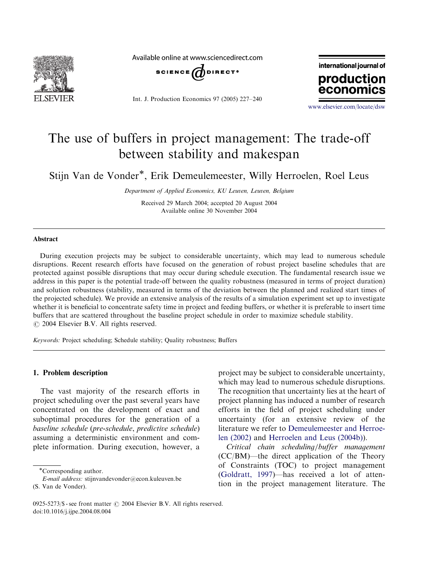

Available online at www.sciencedirect.com



Int. J. Production Economics 97 (2005) 227–240



<www.elsevier.com/locate/dsw>

## The use of buffers in project management: The trade-off between stability and makespan

Stijn Van de Vonder\*, Erik Demeulemeester, Willy Herroelen, Roel Leus

Department of Applied Economics, KU Leuven, Leuven, Belgium

Received 29 March 2004; accepted 20 August 2004 Available online 30 November 2004

#### Abstract

During execution projects may be subject to considerable uncertainty, which may lead to numerous schedule disruptions. Recent research efforts have focused on the generation of robust project baseline schedules that are protected against possible disruptions that may occur during schedule execution. The fundamental research issue we address in this paper is the potential trade-off between the quality robustness (measured in terms of project duration) and solution robustness (stability, measured in terms of the deviation between the planned and realized start times of the projected schedule). We provide an extensive analysis of the results of a simulation experiment set up to investigate whether it is beneficial to concentrate safety time in project and feeding buffers, or whether it is preferable to insert time buffers that are scattered throughout the baseline project schedule in order to maximize schedule stability.  $\odot$  2004 Elsevier B.V. All rights reserved.

Keywords: Project scheduling; Schedule stability; Quality robustness; Buffers

#### 1. Problem description

The vast majority of the research efforts in project scheduling over the past several years have concentrated on the development of exact and suboptimal procedures for the generation of a baseline schedule (pre-schedule, predictive schedule) assuming a deterministic environment and complete information. During execution, however, a

(S. Van de Vonder).

project may be subject to considerable uncertainty, which may lead to numerous schedule disruptions. The recognition that uncertainty lies at the heart of project planning has induced a number of research efforts in the field of project scheduling under uncertainty (for an extensive review of the literature we refer to [Demeulemeester and Herroe](#page--1-0)[len \(2002\)](#page--1-0) and [Herroelen and Leus \(2004b\)\)](#page--1-0).

Critical chain scheduling/buffer management (CC/BM)—the direct application of the Theory of Constraints (TOC) to project management ([Goldratt, 1997\)](#page--1-0)—has received a lot of attention in the project management literature. The

Corresponding author.

E-mail address: stijnvandevonder@econ.kuleuven.be

<sup>0925-5273/\$ -</sup> see front matter  $\odot$  2004 Elsevier B.V. All rights reserved. doi:10.1016/j.ijpe.2004.08.004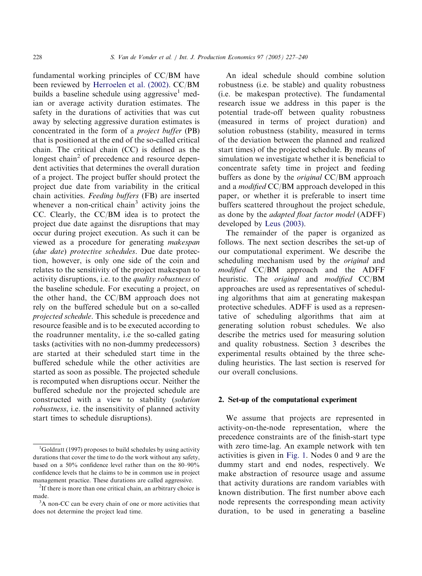fundamental working principles of CC/BM have been reviewed by [Herroelen et al. \(2002\)](#page--1-0). CC/BM builds a baseline schedule using aggressive<sup>1</sup> median or average activity duration estimates. The safety in the durations of activities that was cut away by selecting aggressive duration estimates is concentrated in the form of a project buffer (PB) that is positioned at the end of the so-called critical chain. The critical chain (CC) is defined as the longest chain<sup>2</sup> of precedence and resource dependent activities that determines the overall duration of aproject. The project buffer should protect the project due date from variability in the critical chain activities. Feeding buffers (FB) are inserted whenever a non-critical chain<sup>3</sup> activity joins the CC. Clearly, the CC/BM idea is to protect the project due date against the disruptions that may occur during project execution. As such it can be viewed as a procedure for generating makespan (due date) protective schedules. Due date protection, however, is only one side of the coin and relates to the sensitivity of the project makespan to activity disruptions, i.e. to the quality robustness of the baseline schedule. For executing a project, on the other hand, the CC/BM approach does not rely on the buffered schedule but on a so-called projected schedule. This schedule is precedence and resource feasible and is to be executed according to the roadrunner mentality, i.e the so-called gating tasks (activities with no non-dummy predecessors) are started at their scheduled start time in the buffered schedule while the other activities are started as soon as possible. The projected schedule is recomputed when disruptions occur. Neither the buffered schedule nor the projected schedule are constructed with a view to stability (solution robustness, i.e. the insensitivity of planned activity start times to schedule disruptions).

An ideal schedule should combine solution robustness (i.e. be stable) and quality robustness (i.e. be makespan protective). The fundamental research issue we address in this paper is the potential trade-off between quality robustness (measured in terms of project duration) and solution robustness (stability, measured in terms of the deviation between the planned and realized start times) of the projected schedule. By means of simulation we investigate whether it is beneficial to concentrate safety time in project and feeding buffers as done by the original CC/BM approach and a modified CC/BM approach developed in this paper, or whether it is preferable to insert time buffers scattered throughout the project schedule, as done by the adapted float factor model (ADFF) developed by [Leus \(2003\).](#page--1-0)

The remainder of the paper is organized as follows. The next section describes the set-up of our computational experiment. We describe the scheduling mechanism used by the original and modified CC/BM approach and the ADFF heuristic. The original and modified CC/BM approaches are used as representatives of scheduling algorithms that aim at generating makespan protective schedules. ADFF is used as a representative of scheduling algorithms that aim at generating solution robust schedules. We also describe the metrics used for measuring solution and quality robustness. Section 3 describes the experimental results obtained by the three scheduling heuristics. The last section is reserved for our overall conclusions.

### 2. Set-up of the computational experiment

We assume that projects are represented in activity-on-the-node representation, where the precedence constraints are of the finish-start type with zero time-lag. An example network with ten activities is given in [Fig. 1.](#page--1-0) Nodes 0 and 9 are the dummy start and end nodes, respectively. We make abstraction of resource usage and assume that activity durations are random variables with known distribution. The first number above each node represents the corresponding mean activity duration, to be used in generating a baseline

 ${}^{1}$ Goldratt (1997) proposes to build schedules by using activity durations that cover the time to do the work without any safety, based on a 50% confidence level rather than on the 80–90% confidence levels that he claims to be in common use in project management practice. These durations are called aggressive. <sup>2</sup>

 $<sup>2</sup>$ If there is more than one critical chain, an arbitrary choice is</sup> made.

<sup>&</sup>lt;sup>3</sup>A non-CC can be every chain of one or more activities that does not determine the project lead time.